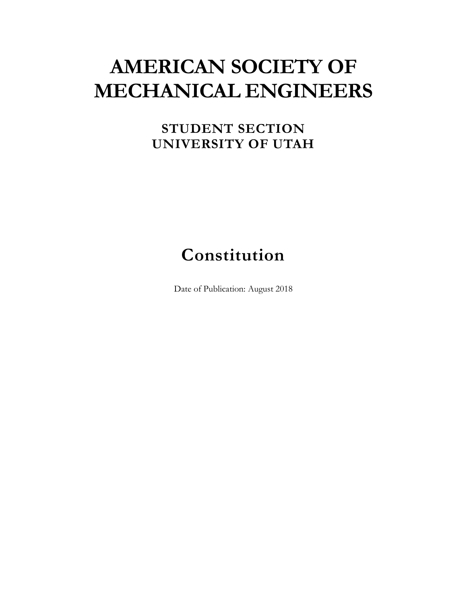# **AMERICAN SOCIETY OF MECHANICAL ENGINEERS**

## **STUDENT SECTION UNIVERSITY OF UTAH**

## **Constitution**

Date of Publication: August 2018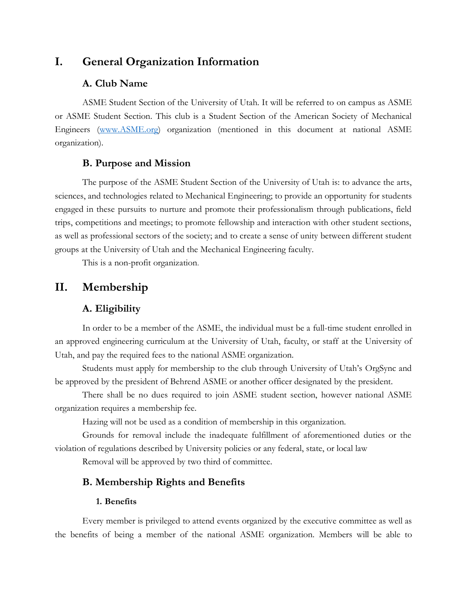## **I. General Organization Information**

#### **A. Club Name**

ASME Student Section of the University of Utah. It will be referred to on campus as ASME or ASME Student Section. This club is a Student Section of the American Society of Mechanical Engineers [\(www.ASME.org\)](http://www.asme.org/) organization (mentioned in this document at national ASME organization).

#### **B. Purpose and Mission**

The purpose of the ASME Student Section of the University of Utah is: to advance the arts, sciences, and technologies related to Mechanical Engineering; to provide an opportunity for students engaged in these pursuits to nurture and promote their professionalism through publications, field trips, competitions and meetings; to promote fellowship and interaction with other student sections, as well as professional sectors of the society; and to create a sense of unity between different student groups at the University of Utah and the Mechanical Engineering faculty.

This is a non-profit organization.

## **II. Membership**

### **A. Eligibility**

In order to be a member of the ASME, the individual must be a full-time student enrolled in an approved engineering curriculum at the University of Utah, faculty, or staff at the University of Utah, and pay the required fees to the national ASME organization.

Students must apply for membership to the club through University of Utah's OrgSync and be approved by the president of Behrend ASME or another officer designated by the president.

There shall be no dues required to join ASME student section, however national ASME organization requires a membership fee.

Hazing will not be used as a condition of membership in this organization.

Grounds for removal include the inadequate fulfillment of aforementioned duties or the violation of regulations described by University policies or any federal, state, or local law

Removal will be approved by two third of committee.

#### **B. Membership Rights and Benefits**

#### **1. Benefits**

Every member is privileged to attend events organized by the executive committee as well as the benefits of being a member of the national ASME organization. Members will be able to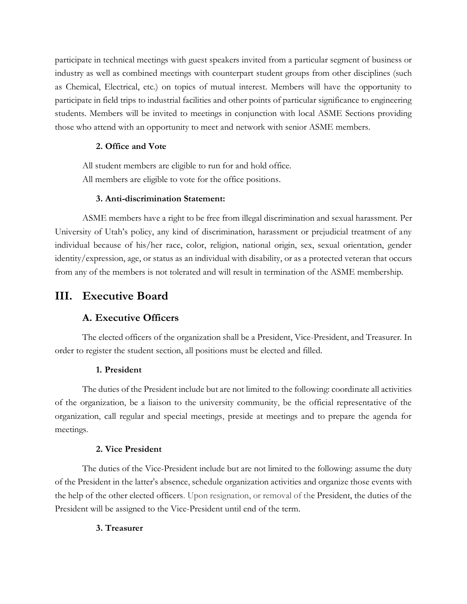participate in technical meetings with guest speakers invited from a particular segment of business or industry as well as combined meetings with counterpart student groups from other disciplines (such as Chemical, Electrical, etc.) on topics of mutual interest. Members will have the opportunity to participate in field trips to industrial facilities and other points of particular significance to engineering students. Members will be invited to meetings in conjunction with local ASME Sections providing those who attend with an opportunity to meet and network with senior ASME members.

#### **2. Office and Vote**

All student members are eligible to run for and hold office. All members are eligible to vote for the office positions.

#### **3. Anti-discrimination Statement:**

ASME members have a right to be free from illegal discrimination and sexual harassment. Per University of Utah's policy, any kind of discrimination, harassment or prejudicial treatment of any individual because of his/her race, color, religion, national origin, sex, sexual orientation, gender identity/expression, age, or status as an individual with disability, or as a protected veteran that occurs from any of the members is not tolerated and will result in termination of the ASME membership.

## **III. Executive Board**

## **A. Executive Officers**

The elected officers of the organization shall be a President, Vice-President, and Treasurer. In order to register the student section, all positions must be elected and filled.

#### **1. President**

The duties of the President include but are not limited to the following: coordinate all activities of the organization, be a liaison to the university community, be the official representative of the organization, call regular and special meetings, preside at meetings and to prepare the agenda for meetings.

#### **2. Vice President**

The duties of the Vice-President include but are not limited to the following: assume the duty of the President in the latter's absence, schedule organization activities and organize those events with the help of the other elected officers. Upon resignation, or removal of the President, the duties of the President will be assigned to the Vice-President until end of the term.

#### **3. Treasurer**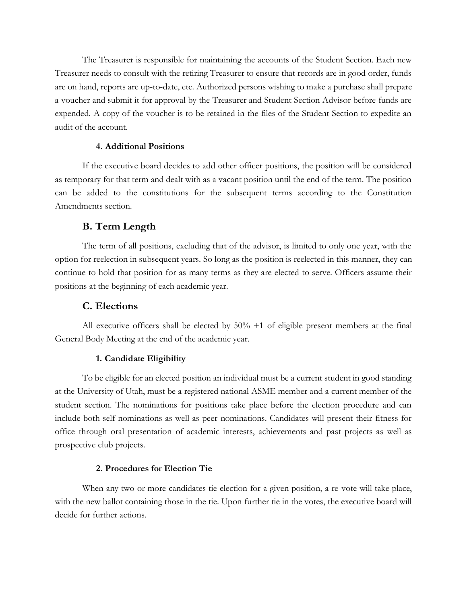The Treasurer is responsible for maintaining the accounts of the Student Section. Each new Treasurer needs to consult with the retiring Treasurer to ensure that records are in good order, funds are on hand, reports are up-to-date, etc. Authorized persons wishing to make a purchase shall prepare a voucher and submit it for approval by the Treasurer and Student Section Advisor before funds are expended. A copy of the voucher is to be retained in the files of the Student Section to expedite an audit of the account.

#### **4. Additional Positions**

If the executive board decides to add other officer positions, the position will be considered as temporary for that term and dealt with as a vacant position until the end of the term. The position can be added to the constitutions for the subsequent terms according to the Constitution Amendments section.

#### **B. Term Length**

The term of all positions, excluding that of the advisor, is limited to only one year, with the option for reelection in subsequent years. So long as the position is reelected in this manner, they can continue to hold that position for as many terms as they are elected to serve. Officers assume their positions at the beginning of each academic year.

#### **C. Elections**

All executive officers shall be elected by  $50\% + 1$  of eligible present members at the final General Body Meeting at the end of the academic year.

#### **1. Candidate Eligibility**

To be eligible for an elected position an individual must be a current student in good standing at the University of Utah, must be a registered national ASME member and a current member of the student section. The nominations for positions take place before the election procedure and can include both self-nominations as well as peer-nominations. Candidates will present their fitness for office through oral presentation of academic interests, achievements and past projects as well as prospective club projects.

#### **2. Procedures for Election Tie**

When any two or more candidates tie election for a given position, a re-vote will take place, with the new ballot containing those in the tie. Upon further tie in the votes, the executive board will decide for further actions.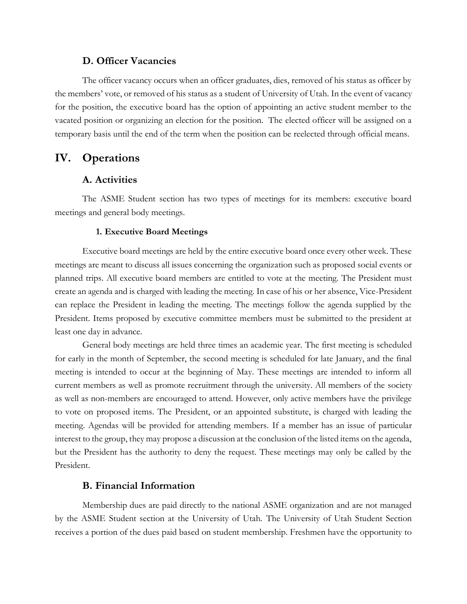#### **D. Officer Vacancies**

The officer vacancy occurs when an officer graduates, dies, removed of his status as officer by the members' vote, or removed of his status as a student of University of Utah. In the event of vacancy for the position, the executive board has the option of appointing an active student member to the vacated position or organizing an election for the position. The elected officer will be assigned on a temporary basis until the end of the term when the position can be reelected through official means.

## **IV. Operations**

#### **A. Activities**

The ASME Student section has two types of meetings for its members: executive board meetings and general body meetings.

#### **1. Executive Board Meetings**

Executive board meetings are held by the entire executive board once every other week. These meetings are meant to discuss all issues concerning the organization such as proposed social events or planned trips. All executive board members are entitled to vote at the meeting. The President must create an agenda and is charged with leading the meeting. In case of his or her absence, Vice-President can replace the President in leading the meeting. The meetings follow the agenda supplied by the President. Items proposed by executive committee members must be submitted to the president at least one day in advance.

General body meetings are held three times an academic year. The first meeting is scheduled for early in the month of September, the second meeting is scheduled for late January, and the final meeting is intended to occur at the beginning of May. These meetings are intended to inform all current members as well as promote recruitment through the university. All members of the society as well as non-members are encouraged to attend. However, only active members have the privilege to vote on proposed items. The President, or an appointed substitute, is charged with leading the meeting. Agendas will be provided for attending members. If a member has an issue of particular interest to the group, they may propose a discussion at the conclusion of the listed items on the agenda, but the President has the authority to deny the request. These meetings may only be called by the President.

#### **B. Financial Information**

Membership dues are paid directly to the national ASME organization and are not managed by the ASME Student section at the University of Utah. The University of Utah Student Section receives a portion of the dues paid based on student membership. Freshmen have the opportunity to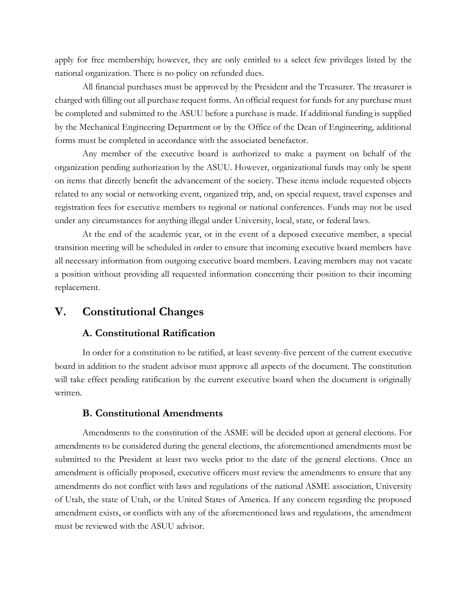apply for free membership; however, they are only entitled to a select few privileges listed by the national organization. There is no policy on refunded dues.

All financial purchases must be approved by the President and the Treasurer. The treasurer is charged with filling out all purchase request forms. An official request for funds for any purchase must be completed and submitted to the ASUU before a purchase is made. If additional funding is supplied by the Mechanical Engineering Department or by the Office of the Dean of Engineering, additional forms must be completed in accordance with the associated benefactor.

Any member of the executive board is authorized to make a payment on behalf of the organization pending authorization by the ASUU. However, organizational funds may only be spent on items that directly benefit the advancement of the society. These items include requested objects related to any social or networking event, organized trip, and, on special request, travel expenses and registration fees for executive members to regional or national conferences. Funds may not be used under any circumstances for anything illegal under University, local, state, or federal laws.

At the end of the academic year, or in the event of a deposed executive member, a special transition meeting will be scheduled in order to ensure that incoming executive board members have all necessary information from outgoing executive board members. Leaving members may not vacate a position without providing all requested information concerning their position to their incoming replacement.

## **V. Constitutional Changes**

#### **A. Constitutional Ratification**

In order for a constitution to be ratified, at least seventy-five percent of the current executive board in addition to the student advisor must approve all aspects of the document. The constitution will take effect pending ratification by the current executive board when the document is originally written.

#### **B. Constitutional Amendments**

Amendments to the constitution of the ASME will be decided upon at general elections. For amendments to be considered during the general elections, the aforementioned amendments must be submitted to the President at least two weeks prior to the date of the general elections. Once an amendment is officially proposed, executive officers must review the amendments to ensure that any amendments do not conflict with laws and regulations of the national ASME association, University of Utah, the state of Utah, or the United States of America. If any concern regarding the proposed amendment exists, or conflicts with any of the aforementioned laws and regulations, the amendment must be reviewed with the ASUU advisor.